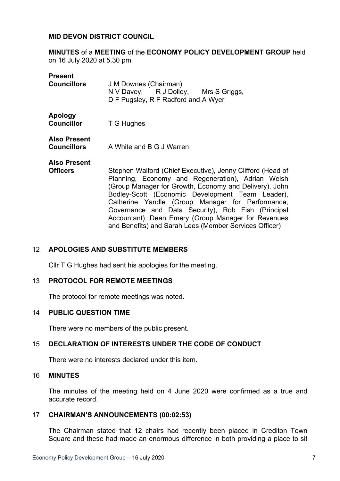### **MID DEVON DISTRICT COUNCIL**

**MINUTES** of a **MEETING** of the **ECONOMY POLICY DEVELOPMENT GROUP** held on 16 July 2020 at 5.30 pm

| <b>Present</b><br><b>Councillors</b>   | J M Downes (Chairman)<br>N V Davey, R J Dolley, Mrs S Griggs,<br>D F Pugsley, R F Radford and A Wyer                                                                                                                                                                                                                                                                                                                                                     |
|----------------------------------------|----------------------------------------------------------------------------------------------------------------------------------------------------------------------------------------------------------------------------------------------------------------------------------------------------------------------------------------------------------------------------------------------------------------------------------------------------------|
| Apology<br><b>Councillor</b>           | T G Hughes                                                                                                                                                                                                                                                                                                                                                                                                                                               |
| <b>Also Present</b>                    | <b>Councillors</b> A White and B G J Warren                                                                                                                                                                                                                                                                                                                                                                                                              |
| <b>Also Present</b><br><b>Officers</b> | Stephen Walford (Chief Executive), Jenny Clifford (Head of<br>Planning, Economy and Regeneration), Adrian Welsh<br>(Group Manager for Growth, Economy and Delivery), John<br>Bodley-Scott (Economic Development Team Leader),<br>Catherine Yandle (Group Manager for Performance,<br>Governance and Data Security), Rob Fish (Principal<br>Accountant), Dean Emery (Group Manager for Revenues<br>and Benefits) and Sarah Lees (Member Services Officer) |

### 12 **APOLOGIES AND SUBSTITUTE MEMBERS**

Cllr T G Hughes had sent his apologies for the meeting.

## 13 **PROTOCOL FOR REMOTE MEETINGS**

The protocol for remote meetings was noted.

### 14 **PUBLIC QUESTION TIME**

There were no members of the public present.

### 15 **DECLARATION OF INTERESTS UNDER THE CODE OF CONDUCT**

There were no interests declared under this item.

#### 16 **MINUTES**

The minutes of the meeting held on 4 June 2020 were confirmed as a true and accurate record.

#### 17 **CHAIRMAN'S ANNOUNCEMENTS (00:02:53)**

The Chairman stated that 12 chairs had recently been placed in Crediton Town Square and these had made an enormous difference in both providing a place to sit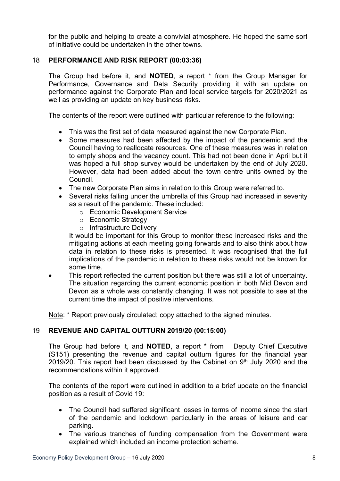for the public and helping to create a convivial atmosphere. He hoped the same sort of initiative could be undertaken in the other towns.

## 18 **PERFORMANCE AND RISK REPORT (00:03:36)**

The Group had before it, and **NOTED**, a report \* from the Group Manager for Performance, Governance and Data Security providing it with an update on performance against the Corporate Plan and local service targets for 2020/2021 as well as providing an update on key business risks.

The contents of the report were outlined with particular reference to the following:

- This was the first set of data measured against the new Corporate Plan.
- Some measures had been affected by the impact of the pandemic and the Council having to reallocate resources. One of these measures was in relation to empty shops and the vacancy count. This had not been done in April but it was hoped a full shop survey would be undertaken by the end of July 2020. However, data had been added about the town centre units owned by the Council.
- The new Corporate Plan aims in relation to this Group were referred to.
- Several risks falling under the umbrella of this Group had increased in severity as a result of the pandemic. These included:
	- o Economic Development Service
	- o Economic Strategy
	- o Infrastructure Delivery

It would be important for this Group to monitor these increased risks and the mitigating actions at each meeting going forwards and to also think about how data in relation to these risks is presented. It was recognised that the full implications of the pandemic in relation to these risks would not be known for some time.

 This report reflected the current position but there was still a lot of uncertainty. The situation regarding the current economic position in both Mid Devon and Devon as a whole was constantly changing. It was not possible to see at the current time the impact of positive interventions.

Note: \* Report previously circulated; copy attached to the signed minutes.

### 19 **REVENUE AND CAPITAL OUTTURN 2019/20 (00:15:00)**

The Group had before it, and **NOTED**, a report \* from Deputy Chief Executive (S151) presenting the revenue and capital outturn figures for the financial year 2019/20. This report had been discussed by the Cabinet on  $9<sup>th</sup>$  July 2020 and the recommendations within it approved.

The contents of the report were outlined in addition to a brief update on the financial position as a result of Covid 19:

- The Council had suffered significant losses in terms of income since the start of the pandemic and lockdown particularly in the areas of leisure and car parking.
- The various tranches of funding compensation from the Government were explained which included an income protection scheme.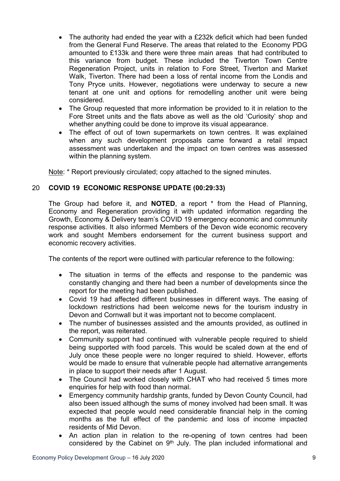- The authority had ended the year with a £232k deficit which had been funded from the General Fund Reserve. The areas that related to the Economy PDG amounted to £133k and there were three main areas that had contributed to this variance from budget. These included the Tiverton Town Centre Regeneration Project, units in relation to Fore Street, Tiverton and Market Walk, Tiverton. There had been a loss of rental income from the Londis and Tony Pryce units. However, negotiations were underway to secure a new tenant at one unit and options for remodelling another unit were being considered.
- The Group requested that more information be provided to it in relation to the Fore Street units and the flats above as well as the old 'Curiosity' shop and whether anything could be done to improve its visual appearance.
- The effect of out of town supermarkets on town centres. It was explained when any such development proposals came forward a retail impact assessment was undertaken and the impact on town centres was assessed within the planning system.

Note: \* Report previously circulated; copy attached to the signed minutes.

## 20 **COVID 19 ECONOMIC RESPONSE UPDATE (00:29:33)**

The Group had before it, and **NOTED**, a report \* from the Head of Planning, Economy and Regeneration providing it with updated information regarding the Growth, Economy & Delivery team's COVID 19 emergency economic and community response activities. It also informed Members of the Devon wide economic recovery work and sought Members endorsement for the current business support and economic recovery activities.

The contents of the report were outlined with particular reference to the following:

- The situation in terms of the effects and response to the pandemic was constantly changing and there had been a number of developments since the report for the meeting had been published.
- Covid 19 had affected different businesses in different ways. The easing of lockdown restrictions had been welcome news for the tourism industry in Devon and Cornwall but it was important not to become complacent.
- The number of businesses assisted and the amounts provided, as outlined in the report, was reiterated.
- Community support had continued with vulnerable people required to shield being supported with food parcels. This would be scaled down at the end of July once these people were no longer required to shield. However, efforts would be made to ensure that vulnerable people had alternative arrangements in place to support their needs after 1 August.
- The Council had worked closely with CHAT who had received 5 times more enquiries for help with food than normal.
- Emergency community hardship grants, funded by Devon County Council, had also been issued although the sums of money involved had been small. It was expected that people would need considerable financial help in the coming months as the full effect of the pandemic and loss of income impacted residents of Mid Devon.
- An action plan in relation to the re-opening of town centres had been considered by the Cabinet on 9<sup>th</sup> July. The plan included informational and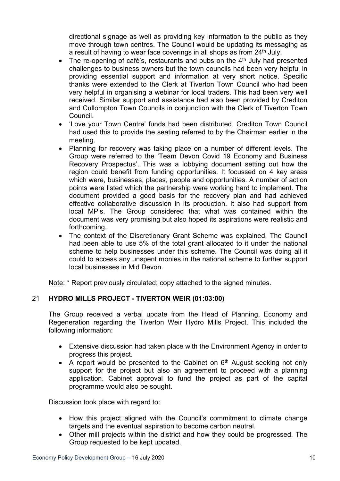directional signage as well as providing key information to the public as they move through town centres. The Council would be updating its messaging as a result of having to wear face coverings in all shops as from 24<sup>th</sup> July.

- The re-opening of café's, restaurants and pubs on the  $4<sup>th</sup>$  July had presented challenges to business owners but the town councils had been very helpful in providing essential support and information at very short notice. Specific thanks were extended to the Clerk at Tiverton Town Council who had been very helpful in organising a webinar for local traders. This had been very well received. Similar support and assistance had also been provided by Crediton and Cullompton Town Councils in conjunction with the Clerk of Tiverton Town Council.
- 'Love your Town Centre' funds had been distributed. Crediton Town Council had used this to provide the seating referred to by the Chairman earlier in the meeting.
- Planning for recovery was taking place on a number of different levels. The Group were referred to the 'Team Devon Covid 19 Economy and Business Recovery Prospectus'. This was a lobbying document setting out how the region could benefit from funding opportunities. It focussed on 4 key areas which were, businesses, places, people and opportunities. A number of action points were listed which the partnership were working hard to implement. The document provided a good basis for the recovery plan and had achieved effective collaborative discussion in its production. It also had support from local MP's. The Group considered that what was contained within the document was very promising but also hoped its aspirations were realistic and forthcoming.
- The context of the Discretionary Grant Scheme was explained. The Council had been able to use 5% of the total grant allocated to it under the national scheme to help businesses under this scheme. The Council was doing all it could to access any unspent monies in the national scheme to further support local businesses in Mid Devon.

Note: \* Report previously circulated; copy attached to the signed minutes.

# 21 **HYDRO MILLS PROJECT - TIVERTON WEIR (01:03:00)**

The Group received a verbal update from the Head of Planning, Economy and Regeneration regarding the Tiverton Weir Hydro Mills Project. This included the following information:

- Extensive discussion had taken place with the Environment Agency in order to progress this project.
- $\bullet$  A report would be presented to the Cabinet on  $6<sup>th</sup>$  August seeking not only support for the project but also an agreement to proceed with a planning application. Cabinet approval to fund the project as part of the capital programme would also be sought.

Discussion took place with regard to:

- How this project aligned with the Council's commitment to climate change targets and the eventual aspiration to become carbon neutral.
- Other mill projects within the district and how they could be progressed. The Group requested to be kept updated.